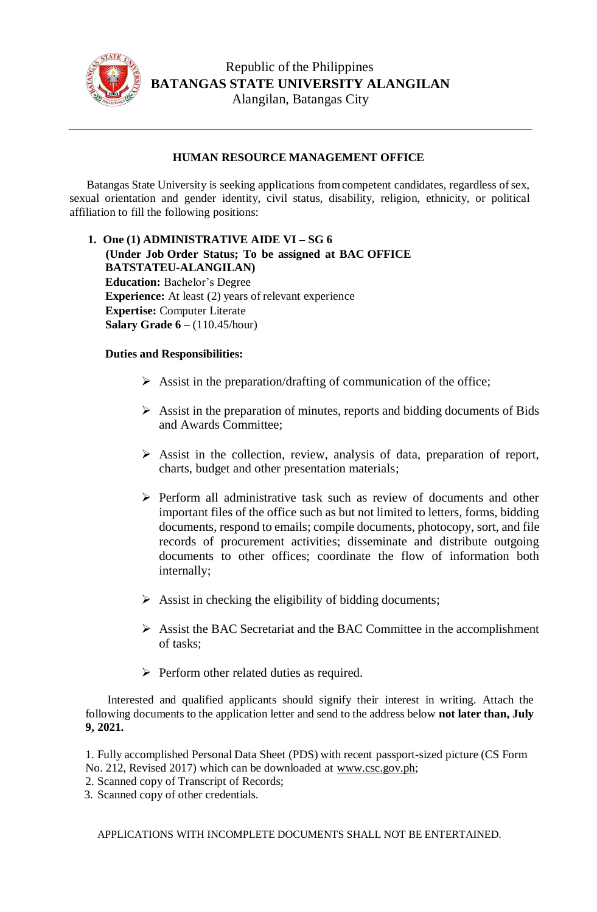

## **HUMAN RESOURCE MANAGEMENT OFFICE**

Batangas State University is seeking applications from competent candidates, regardless of sex, sexual orientation and gender identity, civil status, disability, religion, ethnicity, or political affiliation to fill the following positions:

**1. One (1) ADMINISTRATIVE AIDE VI – SG 6 (Under Job Order Status; To be assigned at BAC OFFICE BATSTATEU-ALANGILAN) Education:** Bachelor's Degree **Experience:** At least (2) years of relevant experience **Expertise:** Computer Literate **Salary Grade 6** – (110.45/hour)

## **Duties and Responsibilities:**

- $\triangleright$  Assist in the preparation/drafting of communication of the office;
- $\triangleright$  Assist in the preparation of minutes, reports and bidding documents of Bids and Awards Committee;
- $\triangleright$  Assist in the collection, review, analysis of data, preparation of report, charts, budget and other presentation materials;
- $\triangleright$  Perform all administrative task such as review of documents and other important files of the office such as but not limited to letters, forms, bidding documents, respond to emails; compile documents, photocopy, sort, and file records of procurement activities; disseminate and distribute outgoing documents to other offices; coordinate the flow of information both internally;
- $\triangleright$  Assist in checking the eligibility of bidding documents;
- $\triangleright$  Assist the BAC Secretariat and the BAC Committee in the accomplishment of tasks;
- $\triangleright$  Perform other related duties as required.

Interested and qualified applicants should signify their interest in writing. Attach the following documents to the application letter and send to the address below **not later than, July 9, 2021.**

1. Fully accomplished Personal Data Sheet (PDS) with recent passport-sized picture (CS Form No. 212, Revised 2017) which can be downloaded at [www.csc.gov.ph;](http://www.csc.gov.ph/)

- 2. Scanned copy of Transcript of Records;
- 3. Scanned copy of other credentials.

APPLICATIONS WITH INCOMPLETE DOCUMENTS SHALL NOT BE ENTERTAINED.